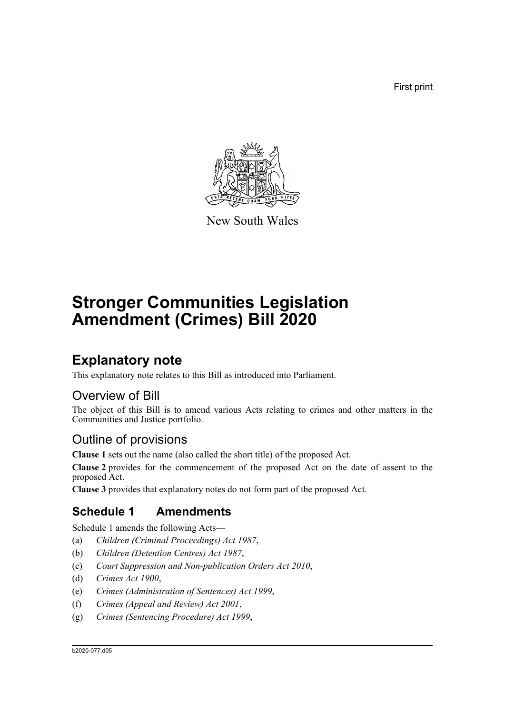First print



New South Wales

# **Stronger Communities Legislation Amendment (Crimes) Bill 2020**

## **Explanatory note**

This explanatory note relates to this Bill as introduced into Parliament.

## Overview of Bill

The object of this Bill is to amend various Acts relating to crimes and other matters in the Communities and Justice portfolio.

## Outline of provisions

**Clause 1** sets out the name (also called the short title) of the proposed Act.

**Clause 2** provides for the commencement of the proposed Act on the date of assent to the proposed Act.

**Clause 3** provides that explanatory notes do not form part of the proposed Act.

## **Schedule 1 Amendments**

Schedule 1 amends the following Acts—

- (a) *Children (Criminal Proceedings) Act 1987*,
- (b) *Children (Detention Centres) Act 1987*,
- (c) *Court Suppression and Non-publication Orders Act 2010*,
- (d) *Crimes Act 1900*,
- (e) *Crimes (Administration of Sentences) Act 1999*,
- (f) *Crimes (Appeal and Review) Act 2001*,
- (g) *Crimes (Sentencing Procedure) Act 1999*,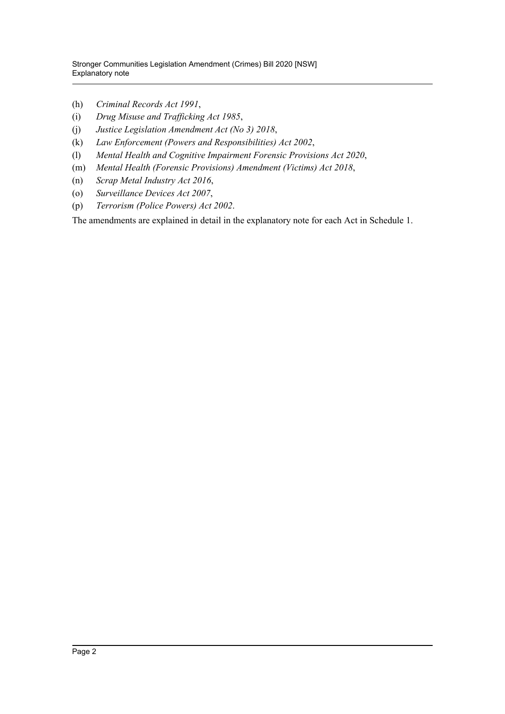- (h) *Criminal Records Act 1991*,
- (i) *Drug Misuse and Trafficking Act 1985*,
- (j) *Justice Legislation Amendment Act (No 3) 2018*,
- (k) *Law Enforcement (Powers and Responsibilities) Act 2002*,
- (l) *Mental Health and Cognitive Impairment Forensic Provisions Act 2020*,
- (m) *Mental Health (Forensic Provisions) Amendment (Victims) Act 2018*,
- (n) *Scrap Metal Industry Act 2016*,
- (o) *Surveillance Devices Act 2007*,
- (p) *Terrorism (Police Powers) Act 2002*.

The amendments are explained in detail in the explanatory note for each Act in Schedule 1.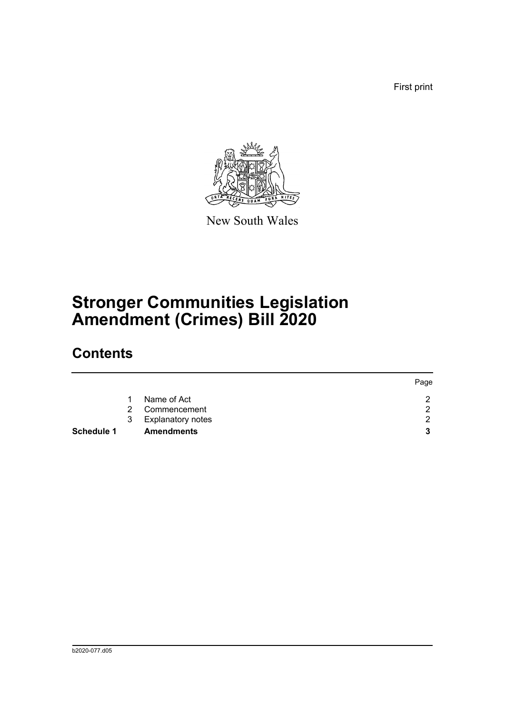First print



New South Wales

# **Stronger Communities Legislation Amendment (Crimes) Bill 2020**

## **Contents**

|            |               |                          | Page |
|------------|---------------|--------------------------|------|
|            |               | Name of Act              | ົ    |
|            | $\mathcal{P}$ | Commencement             | റ    |
|            | 3             | <b>Explanatory notes</b> | റ    |
| Schedule 1 |               | <b>Amendments</b>        | 3    |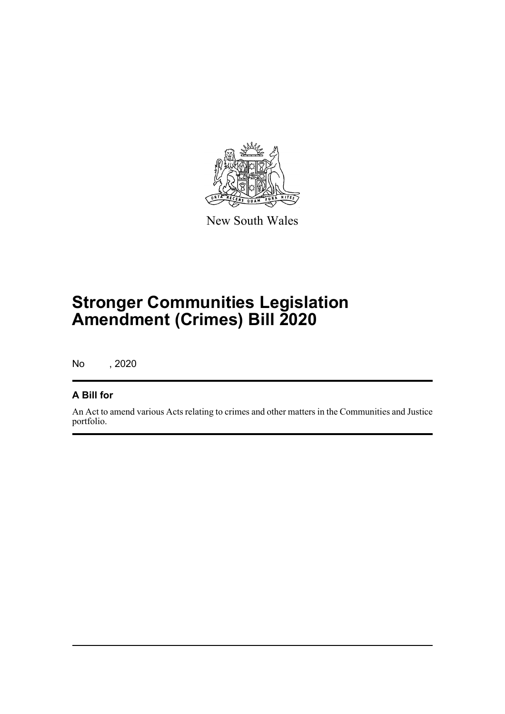

New South Wales

# **Stronger Communities Legislation Amendment (Crimes) Bill 2020**

No , 2020

### **A Bill for**

An Act to amend various Acts relating to crimes and other matters in the Communities and Justice portfolio.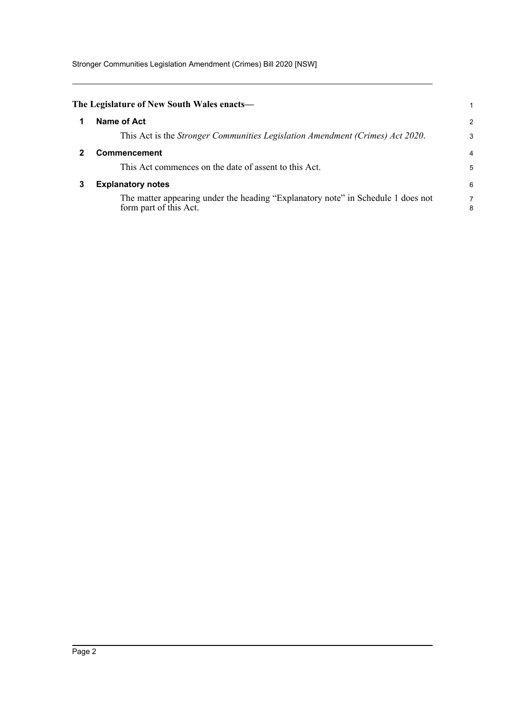Stronger Communities Legislation Amendment (Crimes) Bill 2020 [NSW]

<span id="page-4-2"></span><span id="page-4-1"></span><span id="page-4-0"></span>

|   | The Legislature of New South Wales enacts—                                                                 |        |
|---|------------------------------------------------------------------------------------------------------------|--------|
|   | Name of Act                                                                                                | 2      |
|   | This Act is the <i>Stronger Communities Legislation Amendment (Crimes) Act 2020</i> .                      | 3      |
|   | <b>Commencement</b>                                                                                        | 4      |
|   | This Act commences on the date of assent to this Act.                                                      | 5      |
| 3 | <b>Explanatory notes</b>                                                                                   | 6      |
|   | The matter appearing under the heading "Explanatory note" in Schedule 1 does not<br>form part of this Act. | 7<br>8 |
|   |                                                                                                            |        |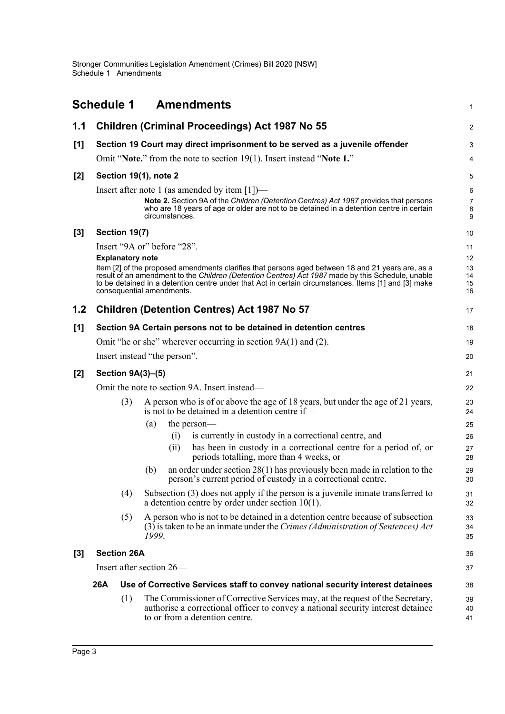<span id="page-5-0"></span>

|       | <b>Schedule 1</b>       |     | <b>Amendments</b>                                                                                                                                                                                                                                                                                                                           | 1                          |
|-------|-------------------------|-----|---------------------------------------------------------------------------------------------------------------------------------------------------------------------------------------------------------------------------------------------------------------------------------------------------------------------------------------------|----------------------------|
| 1.1   |                         |     | <b>Children (Criminal Proceedings) Act 1987 No 55</b>                                                                                                                                                                                                                                                                                       | $\overline{c}$             |
| [1]   |                         |     | Section 19 Court may direct imprisonment to be served as a juvenile offender                                                                                                                                                                                                                                                                | 3                          |
|       |                         |     | Omit "Note." from the note to section 19(1). Insert instead "Note 1."                                                                                                                                                                                                                                                                       | 4                          |
| $[2]$ |                         |     | Section 19(1), note 2                                                                                                                                                                                                                                                                                                                       | 5                          |
|       |                         |     | Insert after note 1 (as amended by item $[1]$ )—<br>Note 2. Section 9A of the Children (Detention Centres) Act 1987 provides that persons<br>who are 18 years of age or older are not to be detained in a detention centre in certain<br>circumstances.                                                                                     | 6<br>7<br>8<br>9           |
| $[3]$ | Section 19(7)           |     |                                                                                                                                                                                                                                                                                                                                             | 10                         |
|       |                         |     | Insert "9A or" before "28".                                                                                                                                                                                                                                                                                                                 | 11                         |
|       | <b>Explanatory note</b> |     | Item [2] of the proposed amendments clarifies that persons aged between 18 and 21 years are, as a<br>result of an amendment to the Children (Detention Centres) Act 1987 made by this Schedule, unable<br>to be detained in a detention centre under that Act in certain circumstances. Items [1] and [3] make<br>consequential amendments. | 12<br>13<br>14<br>15<br>16 |
| 1.2   |                         |     | <b>Children (Detention Centres) Act 1987 No 57</b>                                                                                                                                                                                                                                                                                          | 17                         |
| [1]   |                         |     | Section 9A Certain persons not to be detained in detention centres                                                                                                                                                                                                                                                                          | 18                         |
|       |                         |     | Omit "he or she" wherever occurring in section $9A(1)$ and (2).                                                                                                                                                                                                                                                                             | 19                         |
|       |                         |     | Insert instead "the person".                                                                                                                                                                                                                                                                                                                | 20                         |
| $[2]$ | Section 9A(3)-(5)       |     |                                                                                                                                                                                                                                                                                                                                             | 21                         |
|       |                         |     | Omit the note to section 9A. Insert instead—                                                                                                                                                                                                                                                                                                | 22                         |
|       |                         | (3) | A person who is of or above the age of 18 years, but under the age of 21 years,<br>is not to be detained in a detention centre if—<br>(a)<br>the person—                                                                                                                                                                                    | 23<br>24<br>25             |
|       |                         |     | is currently in custody in a correctional centre, and<br>(i)<br>(ii)<br>has been in custody in a correctional centre for a period of, or<br>periods totalling, more than 4 weeks, or                                                                                                                                                        | 26<br>27<br>28             |
|       |                         |     | an order under section $28(1)$ has previously been made in relation to the<br>(b)<br>person's current period of custody in a correctional centre.                                                                                                                                                                                           | 29<br>30                   |
|       |                         | (4) | Subsection (3) does not apply if the person is a juvenile inmate transferred to<br>a detention centre by order under section $10(1)$ .                                                                                                                                                                                                      | 31<br>32                   |
|       |                         | (5) | A person who is not to be detained in a detention centre because of subsection<br>$(3)$ is taken to be an inmate under the Crimes (Administration of Sentences) Act<br>1999.                                                                                                                                                                | 33<br>34<br>35             |
| [3]   | <b>Section 26A</b>      |     |                                                                                                                                                                                                                                                                                                                                             | 36                         |
|       |                         |     | Insert after section 26—                                                                                                                                                                                                                                                                                                                    | 37                         |
|       | 26A                     |     | Use of Corrective Services staff to convey national security interest detainees                                                                                                                                                                                                                                                             | 38                         |
|       |                         | (1) | The Commissioner of Corrective Services may, at the request of the Secretary,<br>authorise a correctional officer to convey a national security interest detainee<br>to or from a detention centre.                                                                                                                                         | 39<br>40<br>41             |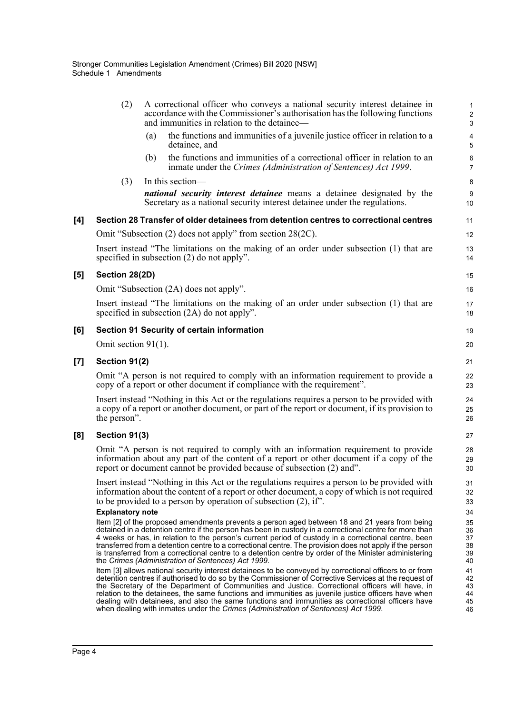|                | (2)                     |     | A correctional officer who conveys a national security interest detainee in<br>accordance with the Commissioner's authorisation has the following functions<br>and immunities in relation to the detainee—                                                                                                                                                                                                                                                                                                                                                                                                           | 1<br>$\mathbf 2$<br>3            |
|----------------|-------------------------|-----|----------------------------------------------------------------------------------------------------------------------------------------------------------------------------------------------------------------------------------------------------------------------------------------------------------------------------------------------------------------------------------------------------------------------------------------------------------------------------------------------------------------------------------------------------------------------------------------------------------------------|----------------------------------|
|                |                         | (a) | the functions and immunities of a juvenile justice officer in relation to a<br>detainee, and                                                                                                                                                                                                                                                                                                                                                                                                                                                                                                                         | 4<br>5                           |
|                |                         | (b) | the functions and immunities of a correctional officer in relation to an<br>inmate under the Crimes (Administration of Sentences) Act 1999.                                                                                                                                                                                                                                                                                                                                                                                                                                                                          | 6<br>$\overline{7}$              |
|                | (3)                     |     | In this section-                                                                                                                                                                                                                                                                                                                                                                                                                                                                                                                                                                                                     | 8                                |
|                |                         |     | <i>national security interest detainee</i> means a detainee designated by the<br>Secretary as a national security interest detainee under the regulations.                                                                                                                                                                                                                                                                                                                                                                                                                                                           | 9<br>10                          |
| [4]            |                         |     | Section 28 Transfer of older detainees from detention centres to correctional centres                                                                                                                                                                                                                                                                                                                                                                                                                                                                                                                                | 11                               |
|                |                         |     | Omit "Subsection (2) does not apply" from section 28(2C).                                                                                                                                                                                                                                                                                                                                                                                                                                                                                                                                                            | 12                               |
|                |                         |     | Insert instead "The limitations on the making of an order under subsection (1) that are<br>specified in subsection (2) do not apply".                                                                                                                                                                                                                                                                                                                                                                                                                                                                                | 13<br>14                         |
| [5]            | Section 28(2D)          |     |                                                                                                                                                                                                                                                                                                                                                                                                                                                                                                                                                                                                                      | 15                               |
|                |                         |     | Omit "Subsection (2A) does not apply".                                                                                                                                                                                                                                                                                                                                                                                                                                                                                                                                                                               | 16                               |
|                |                         |     | Insert instead "The limitations on the making of an order under subsection (1) that are<br>specified in subsection $(2A)$ do not apply".                                                                                                                                                                                                                                                                                                                                                                                                                                                                             | 17<br>18                         |
| [6]            |                         |     | <b>Section 91 Security of certain information</b>                                                                                                                                                                                                                                                                                                                                                                                                                                                                                                                                                                    | 19                               |
|                | Omit section $91(1)$ .  |     |                                                                                                                                                                                                                                                                                                                                                                                                                                                                                                                                                                                                                      | 20                               |
| $\mathbf{[7]}$ | Section 91(2)           |     |                                                                                                                                                                                                                                                                                                                                                                                                                                                                                                                                                                                                                      | 21                               |
|                |                         |     | Omit "A person is not required to comply with an information requirement to provide a<br>copy of a report or other document if compliance with the requirement".                                                                                                                                                                                                                                                                                                                                                                                                                                                     | 22<br>23                         |
|                | the person".            |     | Insert instead "Nothing in this Act or the regulations requires a person to be provided with<br>a copy of a report or another document, or part of the report or document, if its provision to                                                                                                                                                                                                                                                                                                                                                                                                                       | 24<br>25<br>26                   |
| [8]            | Section 91(3)           |     |                                                                                                                                                                                                                                                                                                                                                                                                                                                                                                                                                                                                                      | 27                               |
|                |                         |     | Omit "A person is not required to comply with an information requirement to provide<br>information about any part of the content of a report or other document if a copy of the<br>report or document cannot be provided because of subsection (2) and".                                                                                                                                                                                                                                                                                                                                                             | 28<br>29<br>30                   |
|                | <b>Explanatory note</b> |     | Insert instead "Nothing in this Act or the regulations requires a person to be provided with<br>information about the content of a report or other document, a copy of which is not required<br>to be provided to a person by operation of subsection $(2)$ , if".                                                                                                                                                                                                                                                                                                                                                   | 31<br>32<br>33<br>34             |
|                |                         |     | Item [2] of the proposed amendments prevents a person aged between 18 and 21 years from being<br>detained in a detention centre if the person has been in custody in a correctional centre for more than<br>4 weeks or has, in relation to the person's current period of custody in a correctional centre, been<br>transferred from a detention centre to a correctional centre. The provision does not apply if the person<br>is transferred from a correctional centre to a detention centre by order of the Minister administering<br>the Crimes (Administration of Sentences) Act 1999.                         | 35<br>36<br>37<br>38<br>39<br>40 |
|                |                         |     | Item [3] allows national security interest detainees to be conveyed by correctional officers to or from<br>detention centres if authorised to do so by the Commissioner of Corrective Services at the request of<br>the Secretary of the Department of Communities and Justice. Correctional officers will have, in<br>relation to the detainees, the same functions and immunities as juvenile justice officers have when<br>dealing with detainees, and also the same functions and immunities as correctional officers have<br>when dealing with inmates under the Crimes (Administration of Sentences) Act 1999. | 41<br>42<br>43<br>44<br>45<br>46 |

**[5] Section 28(2D)**

**[7] Section 91(2)**

**[8] Section 91(3)**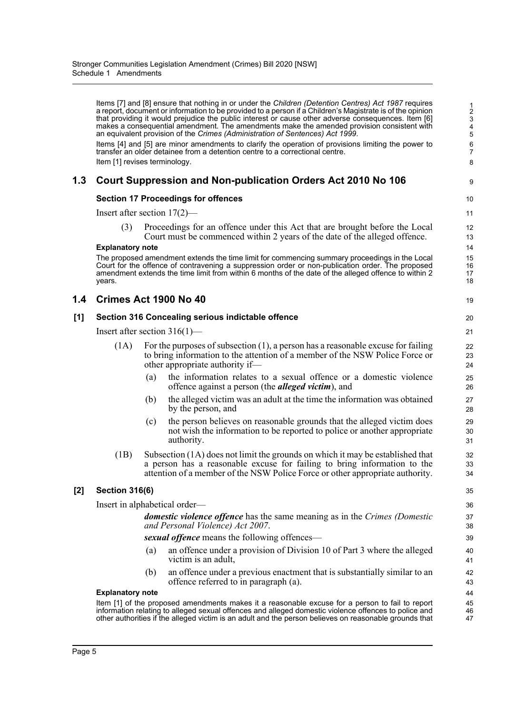|     | Item [1] revises terminology.   |     | Items [7] and [8] ensure that nothing in or under the Children (Detention Centres) Act 1987 requires<br>a report, document or information to be provided to a person if a Children's Magistrate is of the opinion<br>that providing it would prejudice the public interest or cause other adverse consequences. Item [6]<br>makes a consequential amendment. The amendments make the amended provision consistent with<br>an equivalent provision of the Crimes (Administration of Sentences) Act 1999.<br>Items [4] and [5] are minor amendments to clarify the operation of provisions limiting the power to<br>transfer an older detainee from a detention centre to a correctional centre. | $\frac{1}{2}$<br>3<br>4<br>5<br>6<br>$\overline{7}$<br>8 |
|-----|---------------------------------|-----|------------------------------------------------------------------------------------------------------------------------------------------------------------------------------------------------------------------------------------------------------------------------------------------------------------------------------------------------------------------------------------------------------------------------------------------------------------------------------------------------------------------------------------------------------------------------------------------------------------------------------------------------------------------------------------------------|----------------------------------------------------------|
| 1.3 |                                 |     | Court Suppression and Non-publication Orders Act 2010 No 106                                                                                                                                                                                                                                                                                                                                                                                                                                                                                                                                                                                                                                   | 9                                                        |
|     |                                 |     | <b>Section 17 Proceedings for offences</b>                                                                                                                                                                                                                                                                                                                                                                                                                                                                                                                                                                                                                                                     | 10                                                       |
|     | Insert after section $17(2)$ —  |     |                                                                                                                                                                                                                                                                                                                                                                                                                                                                                                                                                                                                                                                                                                | 11                                                       |
|     | (3)                             |     | Proceedings for an offence under this Act that are brought before the Local<br>Court must be commenced within 2 years of the date of the alleged offence.                                                                                                                                                                                                                                                                                                                                                                                                                                                                                                                                      | 12<br>13                                                 |
|     | <b>Explanatory note</b>         |     |                                                                                                                                                                                                                                                                                                                                                                                                                                                                                                                                                                                                                                                                                                | 14                                                       |
|     | years.                          |     | The proposed amendment extends the time limit for commencing summary proceedings in the Local<br>Court for the offence of contravening a suppression order or non-publication order. The proposed<br>amendment extends the time limit from within 6 months of the date of the alleged offence to within 2                                                                                                                                                                                                                                                                                                                                                                                      | 15<br>16<br>17<br>18                                     |
| 1.4 |                                 |     | Crimes Act 1900 No 40                                                                                                                                                                                                                                                                                                                                                                                                                                                                                                                                                                                                                                                                          | 19                                                       |
| [1] |                                 |     | Section 316 Concealing serious indictable offence                                                                                                                                                                                                                                                                                                                                                                                                                                                                                                                                                                                                                                              | 20                                                       |
|     | Insert after section $316(1)$ — |     |                                                                                                                                                                                                                                                                                                                                                                                                                                                                                                                                                                                                                                                                                                | 21                                                       |
|     | (1A)                            |     | For the purposes of subsection $(1)$ , a person has a reasonable excuse for failing<br>to bring information to the attention of a member of the NSW Police Force or<br>other appropriate authority if—                                                                                                                                                                                                                                                                                                                                                                                                                                                                                         | 22<br>23<br>24                                           |
|     |                                 | (a) | the information relates to a sexual offence or a domestic violence<br>offence against a person (the <i>alleged victim</i> ), and                                                                                                                                                                                                                                                                                                                                                                                                                                                                                                                                                               | 25<br>26                                                 |
|     |                                 | (b) | the alleged victim was an adult at the time the information was obtained<br>by the person, and                                                                                                                                                                                                                                                                                                                                                                                                                                                                                                                                                                                                 | 27<br>28                                                 |
|     |                                 | (c) | the person believes on reasonable grounds that the alleged victim does<br>not wish the information to be reported to police or another appropriate<br>authority.                                                                                                                                                                                                                                                                                                                                                                                                                                                                                                                               | 29<br>30<br>31                                           |
|     | (1B)                            |     | Subsection (1A) does not limit the grounds on which it may be established that<br>a person has a reasonable excuse for failing to bring information to the<br>attention of a member of the NSW Police Force or other appropriate authority.                                                                                                                                                                                                                                                                                                                                                                                                                                                    | 32<br>33<br>34                                           |
| [2] | <b>Section 316(6)</b>           |     |                                                                                                                                                                                                                                                                                                                                                                                                                                                                                                                                                                                                                                                                                                | 35                                                       |
|     |                                 |     | Insert in alphabetical order—                                                                                                                                                                                                                                                                                                                                                                                                                                                                                                                                                                                                                                                                  | 36                                                       |
|     |                                 |     | <b>domestic violence offence</b> has the same meaning as in the Crimes (Domestic<br>and Personal Violence) Act 2007.                                                                                                                                                                                                                                                                                                                                                                                                                                                                                                                                                                           | 37<br>38                                                 |
|     |                                 |     | sexual offence means the following offences—                                                                                                                                                                                                                                                                                                                                                                                                                                                                                                                                                                                                                                                   | 39                                                       |
|     |                                 | (a) | an offence under a provision of Division 10 of Part 3 where the alleged<br>victim is an adult,                                                                                                                                                                                                                                                                                                                                                                                                                                                                                                                                                                                                 | 40<br>41                                                 |
|     |                                 | (b) | an offence under a previous enactment that is substantially similar to an<br>offence referred to in paragraph (a).                                                                                                                                                                                                                                                                                                                                                                                                                                                                                                                                                                             | 42<br>43                                                 |
|     | <b>Explanatory note</b>         |     |                                                                                                                                                                                                                                                                                                                                                                                                                                                                                                                                                                                                                                                                                                | 44                                                       |
|     |                                 |     | Item [1] of the proposed amendments makes it a reasonable excuse for a person to fail to report<br>information relating to alleged sexual offences and alleged domestic violence offences to police and<br>other authorities if the alleged victim is an adult and the person believes on reasonable grounds that                                                                                                                                                                                                                                                                                                                                                                              | 45<br>46<br>47                                           |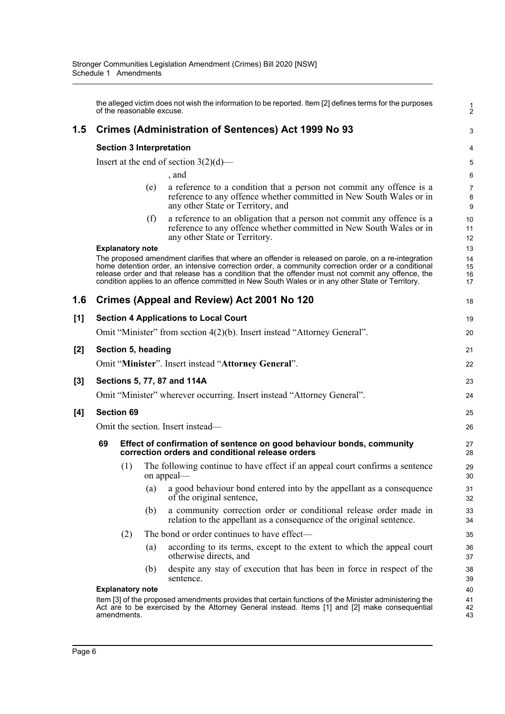|     | the alleged victim does not wish the information to be reported. Item [2] defines terms for the purposes<br>of the reasonable excuse. |                                                                                                                                                                                                                       |     |                                                                                                                                                                                                                                                                                                                                                                                                                   |                      |  |  |  |  |
|-----|---------------------------------------------------------------------------------------------------------------------------------------|-----------------------------------------------------------------------------------------------------------------------------------------------------------------------------------------------------------------------|-----|-------------------------------------------------------------------------------------------------------------------------------------------------------------------------------------------------------------------------------------------------------------------------------------------------------------------------------------------------------------------------------------------------------------------|----------------------|--|--|--|--|
| 1.5 |                                                                                                                                       |                                                                                                                                                                                                                       |     | Crimes (Administration of Sentences) Act 1999 No 93                                                                                                                                                                                                                                                                                                                                                               | 3                    |  |  |  |  |
|     | <b>Section 3 Interpretation</b>                                                                                                       |                                                                                                                                                                                                                       |     |                                                                                                                                                                                                                                                                                                                                                                                                                   |                      |  |  |  |  |
|     |                                                                                                                                       |                                                                                                                                                                                                                       |     | Insert at the end of section $3(2)(d)$ —                                                                                                                                                                                                                                                                                                                                                                          | 5                    |  |  |  |  |
|     |                                                                                                                                       |                                                                                                                                                                                                                       |     | , and                                                                                                                                                                                                                                                                                                                                                                                                             | 6                    |  |  |  |  |
|     |                                                                                                                                       |                                                                                                                                                                                                                       | (e) | a reference to a condition that a person not commit any offence is a<br>reference to any offence whether committed in New South Wales or in<br>any other State or Territory, and                                                                                                                                                                                                                                  | 7<br>8<br>9          |  |  |  |  |
|     |                                                                                                                                       |                                                                                                                                                                                                                       | (f) | a reference to an obligation that a person not commit any offence is a<br>reference to any offence whether committed in New South Wales or in<br>any other State or Territory.                                                                                                                                                                                                                                    | 10<br>11<br>12       |  |  |  |  |
|     |                                                                                                                                       | <b>Explanatory note</b>                                                                                                                                                                                               |     |                                                                                                                                                                                                                                                                                                                                                                                                                   | 13                   |  |  |  |  |
|     |                                                                                                                                       |                                                                                                                                                                                                                       |     | The proposed amendment clarifies that where an offender is released on parole, on a re-integration<br>home detention order, an intensive correction order, a community correction order or a conditional<br>release order and that release has a condition that the offender must not commit any offence, the<br>condition applies to an offence committed in New South Wales or in any other State or Territory. | 14<br>15<br>16<br>17 |  |  |  |  |
| 1.6 |                                                                                                                                       |                                                                                                                                                                                                                       |     | Crimes (Appeal and Review) Act 2001 No 120                                                                                                                                                                                                                                                                                                                                                                        | 18                   |  |  |  |  |
| [1] |                                                                                                                                       |                                                                                                                                                                                                                       |     | <b>Section 4 Applications to Local Court</b>                                                                                                                                                                                                                                                                                                                                                                      | 19                   |  |  |  |  |
|     |                                                                                                                                       |                                                                                                                                                                                                                       |     | Omit "Minister" from section 4(2)(b). Insert instead "Attorney General".                                                                                                                                                                                                                                                                                                                                          | 20                   |  |  |  |  |
| [2] |                                                                                                                                       | Section 5, heading                                                                                                                                                                                                    |     |                                                                                                                                                                                                                                                                                                                                                                                                                   | 21                   |  |  |  |  |
|     |                                                                                                                                       |                                                                                                                                                                                                                       |     | Omit "Minister". Insert instead "Attorney General".                                                                                                                                                                                                                                                                                                                                                               | 22                   |  |  |  |  |
| [3] |                                                                                                                                       |                                                                                                                                                                                                                       |     | Sections 5, 77, 87 and 114A                                                                                                                                                                                                                                                                                                                                                                                       | 23                   |  |  |  |  |
|     |                                                                                                                                       |                                                                                                                                                                                                                       |     | Omit "Minister" wherever occurring. Insert instead "Attorney General".                                                                                                                                                                                                                                                                                                                                            | 24                   |  |  |  |  |
| [4] | <b>Section 69</b>                                                                                                                     |                                                                                                                                                                                                                       |     |                                                                                                                                                                                                                                                                                                                                                                                                                   |                      |  |  |  |  |
|     | Omit the section. Insert instead—                                                                                                     |                                                                                                                                                                                                                       |     |                                                                                                                                                                                                                                                                                                                                                                                                                   |                      |  |  |  |  |
|     | 69                                                                                                                                    | Effect of confirmation of sentence on good behaviour bonds, community<br>correction orders and conditional release orders                                                                                             |     |                                                                                                                                                                                                                                                                                                                                                                                                                   |                      |  |  |  |  |
|     |                                                                                                                                       | (1)                                                                                                                                                                                                                   |     | The following continue to have effect if an appeal court confirms a sentence<br>on appeal-                                                                                                                                                                                                                                                                                                                        | 29<br>30             |  |  |  |  |
|     |                                                                                                                                       |                                                                                                                                                                                                                       | (a) | a good behaviour bond entered into by the appellant as a consequence<br>of the original sentence,                                                                                                                                                                                                                                                                                                                 | 31<br>32             |  |  |  |  |
|     |                                                                                                                                       |                                                                                                                                                                                                                       | (b) | a community correction order or conditional release order made in<br>relation to the appellant as a consequence of the original sentence.                                                                                                                                                                                                                                                                         | 33<br>34             |  |  |  |  |
|     |                                                                                                                                       | (2)                                                                                                                                                                                                                   |     | The bond or order continues to have effect-                                                                                                                                                                                                                                                                                                                                                                       | 35                   |  |  |  |  |
|     |                                                                                                                                       |                                                                                                                                                                                                                       | (a) | according to its terms, except to the extent to which the appeal court<br>otherwise directs, and                                                                                                                                                                                                                                                                                                                  | 36<br>37             |  |  |  |  |
|     |                                                                                                                                       |                                                                                                                                                                                                                       | (b) | despite any stay of execution that has been in force in respect of the<br>sentence.                                                                                                                                                                                                                                                                                                                               | 38<br>39             |  |  |  |  |
|     |                                                                                                                                       | <b>Explanatory note</b>                                                                                                                                                                                               |     |                                                                                                                                                                                                                                                                                                                                                                                                                   | 40<br>41             |  |  |  |  |
|     |                                                                                                                                       | Item [3] of the proposed amendments provides that certain functions of the Minister administering the<br>Act are to be exercised by the Attorney General instead. Items [1] and [2] make consequential<br>amendments. |     |                                                                                                                                                                                                                                                                                                                                                                                                                   |                      |  |  |  |  |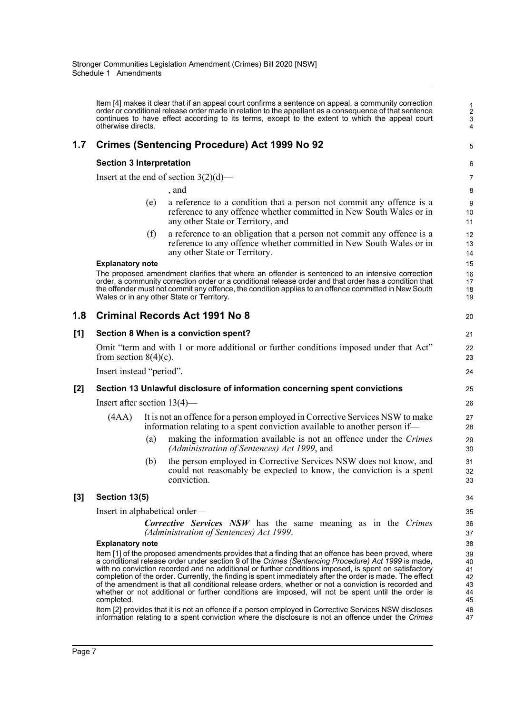Item [4] makes it clear that if an appeal court confirms a sentence on appeal, a community correction order or conditional release order made in relation to the appellant as a consequence of that sentence continues to have effect according to its terms, except to the extent to which the appeal court otherwise directs.

### **1.7 Crimes (Sentencing Procedure) Act 1999 No 92**

#### **Section 3 Interpretation**

Insert at the end of section  $3(2)(d)$ —

, and

(e) a reference to a condition that a person not commit any offence is a reference to any offence whether committed in New South Wales or in any other State or Territory, and

5

(f) a reference to an obligation that a person not commit any offence is a reference to any offence whether committed in New South Wales or in any other State or Territory.

#### **Explanatory note**

The proposed amendment clarifies that where an offender is sentenced to an intensive correction order, a community correction order or a conditional release order and that order has a condition that the offender must not commit any offence, the condition applies to an offence committed in New South Wales or in any other State or Territory.

### **1.8 Criminal Records Act 1991 No 8**

#### **[1] Section 8 When is a conviction spent?**

Omit "term and with 1 or more additional or further conditions imposed under that Act" from section  $8(4)(c)$ .

Insert instead "period".

#### **[2] Section 13 Unlawful disclosure of information concerning spent convictions**

Insert after section 13(4)—

- (4AA) It is not an offence for a person employed in Corrective Services NSW to make information relating to a spent conviction available to another person if—
	- (a) making the information available is not an offence under the *Crimes (Administration of Sentences) Act 1999*, and
	- (b) the person employed in Corrective Services NSW does not know, and could not reasonably be expected to know, the conviction is a spent conviction.

#### **[3] Section 13(5)**

Insert in alphabetical order—

*Corrective Services NSW* has the same meaning as in the *Crimes (Administration of Sentences) Act 1999*.

#### **Explanatory note**

Item [1] of the proposed amendments provides that a finding that an offence has been proved, where a conditional release order under section 9 of the *Crimes (Sentencing Procedure) Act 1999* is made, with no conviction recorded and no additional or further conditions imposed, is spent on satisfactory completion of the order. Currently, the finding is spent immediately after the order is made. The effect of the amendment is that all conditional release orders, whether or not a conviction is recorded and whether or not additional or further conditions are imposed, will not be spent until the order is completed.

Item [2] provides that it is not an offence if a person employed in Corrective Services NSW discloses information relating to a spent conviction where the disclosure is not an offence under the *Crimes*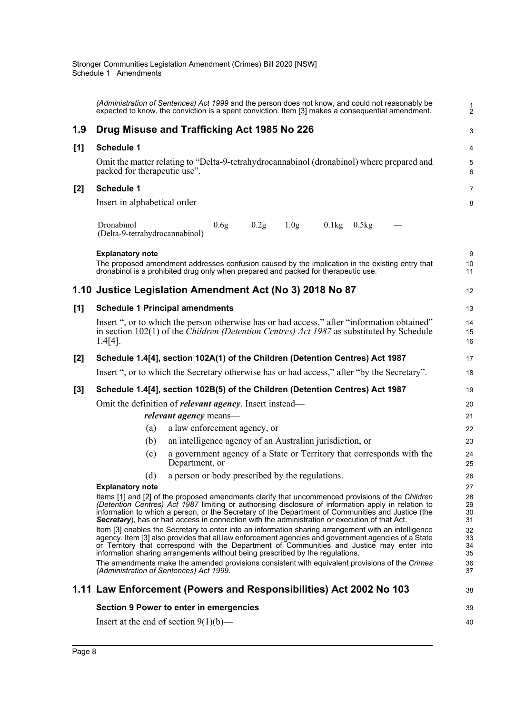|       | (Administration of Sentences) Act 1999 and the person does not know, and could not reasonably be<br>expected to know, the conviction is a spent conviction. Item [3] makes a consequential amendment.                                                                                                                                                                                                                 | $\frac{1}{2}$        |  |  |  |  |  |
|-------|-----------------------------------------------------------------------------------------------------------------------------------------------------------------------------------------------------------------------------------------------------------------------------------------------------------------------------------------------------------------------------------------------------------------------|----------------------|--|--|--|--|--|
| 1.9   | Drug Misuse and Trafficking Act 1985 No 226                                                                                                                                                                                                                                                                                                                                                                           | 3                    |  |  |  |  |  |
| [1]   | <b>Schedule 1</b>                                                                                                                                                                                                                                                                                                                                                                                                     | 4                    |  |  |  |  |  |
|       | Omit the matter relating to "Delta-9-tetrahydrocannabinol (dronabinol) where prepared and<br>packed for therapeutic use".                                                                                                                                                                                                                                                                                             | 5<br>6               |  |  |  |  |  |
| [2]   | <b>Schedule 1</b>                                                                                                                                                                                                                                                                                                                                                                                                     | $\overline{7}$       |  |  |  |  |  |
|       | Insert in alphabetical order—                                                                                                                                                                                                                                                                                                                                                                                         | 8                    |  |  |  |  |  |
|       | Dronabinol<br>0.2g<br>0.1kg<br>0.6g<br>1.0 <sub>g</sub><br>0.5kg<br>(Delta-9-tetrahydrocannabinol)                                                                                                                                                                                                                                                                                                                    |                      |  |  |  |  |  |
|       | <b>Explanatory note</b><br>The proposed amendment addresses confusion caused by the implication in the existing entry that<br>dronabinol is a prohibited drug only when prepared and packed for therapeutic use.                                                                                                                                                                                                      | 9<br>10<br>11        |  |  |  |  |  |
|       | 1.10 Justice Legislation Amendment Act (No 3) 2018 No 87                                                                                                                                                                                                                                                                                                                                                              | 12                   |  |  |  |  |  |
| [1]   | <b>Schedule 1 Principal amendments</b>                                                                                                                                                                                                                                                                                                                                                                                | 13                   |  |  |  |  |  |
|       | Insert ", or to which the person otherwise has or had access," after "information obtained"<br>in section $102(1)$ of the <i>Children (Detention Centres) Act 1987</i> as substituted by Schedule<br>$1.4[4]$ .                                                                                                                                                                                                       | 14<br>15<br>16       |  |  |  |  |  |
| [2]   | Schedule 1.4[4], section 102A(1) of the Children (Detention Centres) Act 1987                                                                                                                                                                                                                                                                                                                                         | 17                   |  |  |  |  |  |
|       | Insert ", or to which the Secretary otherwise has or had access," after "by the Secretary".                                                                                                                                                                                                                                                                                                                           | 18                   |  |  |  |  |  |
| $[3]$ | Schedule 1.4[4], section 102B(5) of the Children (Detention Centres) Act 1987                                                                                                                                                                                                                                                                                                                                         | 19                   |  |  |  |  |  |
|       | Omit the definition of <i>relevant agency</i> . Insert instead—                                                                                                                                                                                                                                                                                                                                                       | 20                   |  |  |  |  |  |
|       | <i>relevant agency</i> means—                                                                                                                                                                                                                                                                                                                                                                                         | 21                   |  |  |  |  |  |
|       | a law enforcement agency, or<br>(a)                                                                                                                                                                                                                                                                                                                                                                                   | 22                   |  |  |  |  |  |
|       | an intelligence agency of an Australian jurisdiction, or<br>(b)                                                                                                                                                                                                                                                                                                                                                       | 23                   |  |  |  |  |  |
|       | a government agency of a State or Territory that corresponds with the<br>(c)<br>Department, or                                                                                                                                                                                                                                                                                                                        | 24<br>25             |  |  |  |  |  |
|       | (d) a person or body prescribed by the regulations.                                                                                                                                                                                                                                                                                                                                                                   | 26                   |  |  |  |  |  |
|       | <b>Explanatory note</b>                                                                                                                                                                                                                                                                                                                                                                                               | 27                   |  |  |  |  |  |
|       | Items [1] and [2] of the proposed amendments clarify that uncommenced provisions of the Children<br>(Detention Centres) Act 1987 limiting or authorising disclosure of information apply in relation to<br>information to which a person, or the Secretary of the Department of Communities and Justice (the<br><b>Secretary</b> ), has or had access in connection with the administration or execution of that Act. | 28<br>29<br>30<br>31 |  |  |  |  |  |
|       | Item [3] enables the Secretary to enter into an information sharing arrangement with an intelligence<br>agency. Item [3] also provides that all law enforcement agencies and government agencies of a State<br>or Territory that correspond with the Department of Communities and Justice may enter into<br>information sharing arrangements without being prescribed by the regulations.                            | 32<br>33<br>34<br>35 |  |  |  |  |  |
|       | The amendments make the amended provisions consistent with equivalent provisions of the Crimes<br>(Administration of Sentences) Act 1999.                                                                                                                                                                                                                                                                             | 36<br>37             |  |  |  |  |  |
|       | 1.11 Law Enforcement (Powers and Responsibilities) Act 2002 No 103                                                                                                                                                                                                                                                                                                                                                    | 38                   |  |  |  |  |  |
|       | <b>Section 9 Power to enter in emergencies</b>                                                                                                                                                                                                                                                                                                                                                                        | 39                   |  |  |  |  |  |
|       | Insert at the end of section $9(1)(b)$ —                                                                                                                                                                                                                                                                                                                                                                              |                      |  |  |  |  |  |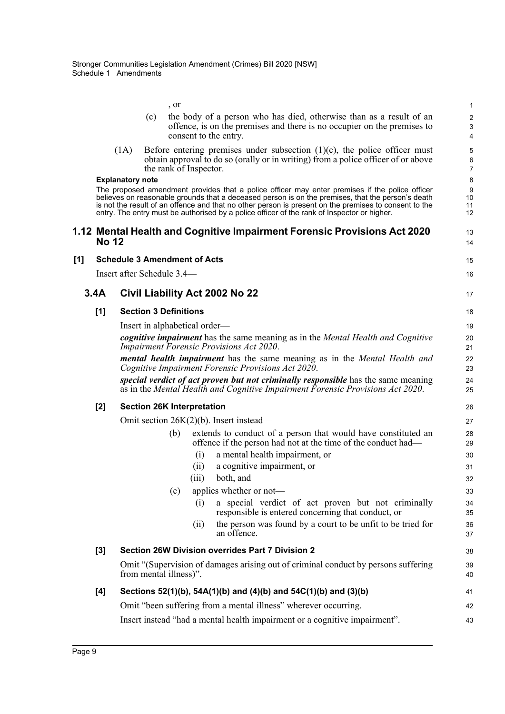|     |              |                         | , or                                |       |                                                                                                                                                                                                                                                                                                                                                                                                             | 1                                 |
|-----|--------------|-------------------------|-------------------------------------|-------|-------------------------------------------------------------------------------------------------------------------------------------------------------------------------------------------------------------------------------------------------------------------------------------------------------------------------------------------------------------------------------------------------------------|-----------------------------------|
|     |              |                         | (c)                                 |       | the body of a person who has died, otherwise than as a result of an<br>offence, is on the premises and there is no occupier on the premises to<br>consent to the entry.                                                                                                                                                                                                                                     | $\overline{\mathbf{c}}$<br>3<br>4 |
|     |              | (1A)                    | the rank of Inspector.              |       | Before entering premises under subsection $(1)(c)$ , the police officer must<br>obtain approval to do so (orally or in writing) from a police officer of or above                                                                                                                                                                                                                                           | 5<br>6<br>7                       |
|     |              | <b>Explanatory note</b> |                                     |       |                                                                                                                                                                                                                                                                                                                                                                                                             | 8                                 |
|     |              |                         |                                     |       | The proposed amendment provides that a police officer may enter premises if the police officer<br>believes on reasonable grounds that a deceased person is on the premises, that the person's death<br>is not the result of an offence and that no other person is present on the premises to consent to the<br>entry. The entry must be authorised by a police officer of the rank of Inspector or higher. | 9<br>10<br>11<br>12               |
|     | <b>No 12</b> |                         |                                     |       | 1.12 Mental Health and Cognitive Impairment Forensic Provisions Act 2020                                                                                                                                                                                                                                                                                                                                    | 13<br>14                          |
| [1] |              |                         | <b>Schedule 3 Amendment of Acts</b> |       |                                                                                                                                                                                                                                                                                                                                                                                                             | 15                                |
|     |              |                         | Insert after Schedule 3.4—          |       |                                                                                                                                                                                                                                                                                                                                                                                                             | 16                                |
|     | 3.4A         |                         |                                     |       | Civil Liability Act 2002 No 22                                                                                                                                                                                                                                                                                                                                                                              | 17                                |
|     | [1]          |                         | <b>Section 3 Definitions</b>        |       |                                                                                                                                                                                                                                                                                                                                                                                                             | 18                                |
|     |              |                         | Insert in alphabetical order—       |       |                                                                                                                                                                                                                                                                                                                                                                                                             | 19                                |
|     |              |                         |                                     |       | cognitive impairment has the same meaning as in the Mental Health and Cognitive<br><b>Impairment Forensic Provisions Act 2020.</b>                                                                                                                                                                                                                                                                          | 20<br>21                          |
|     |              |                         |                                     |       | mental health impairment has the same meaning as in the Mental Health and<br>Cognitive Impairment Forensic Provisions Act 2020.                                                                                                                                                                                                                                                                             | 22<br>23                          |
|     |              |                         |                                     |       | special verdict of act proven but not criminally responsible has the same meaning<br>as in the Mental Health and Cognitive Impairment Forensic Provisions Act 2020.                                                                                                                                                                                                                                         | 24<br>25                          |
|     | [2]          |                         | <b>Section 26K Interpretation</b>   |       |                                                                                                                                                                                                                                                                                                                                                                                                             | 26                                |
|     |              |                         |                                     |       | Omit section $26K(2)(b)$ . Insert instead—                                                                                                                                                                                                                                                                                                                                                                  | 27                                |
|     |              |                         | (b)                                 |       | extends to conduct of a person that would have constituted an<br>offence if the person had not at the time of the conduct had—                                                                                                                                                                                                                                                                              | 28<br>29                          |
|     |              |                         |                                     | (i)   | a mental health impairment, or                                                                                                                                                                                                                                                                                                                                                                              | 30                                |
|     |              |                         |                                     | (ii)  | a cognitive impairment, or                                                                                                                                                                                                                                                                                                                                                                                  | 31                                |
|     |              |                         |                                     | (iii) | both, and                                                                                                                                                                                                                                                                                                                                                                                                   | 32                                |
|     |              |                         | (c)                                 |       | applies whether or not-                                                                                                                                                                                                                                                                                                                                                                                     | 33                                |
|     |              |                         |                                     | (i)   | a special verdict of act proven but not criminally<br>responsible is entered concerning that conduct, or                                                                                                                                                                                                                                                                                                    | 34<br>35                          |
|     |              |                         |                                     | (i)   | the person was found by a court to be unfit to be tried for<br>an offence.                                                                                                                                                                                                                                                                                                                                  | 36<br>37                          |
|     | [3]          |                         |                                     |       | Section 26W Division overrides Part 7 Division 2                                                                                                                                                                                                                                                                                                                                                            | 38                                |
|     |              |                         | from mental illness)".              |       | Omit "(Supervision of damages arising out of criminal conduct by persons suffering                                                                                                                                                                                                                                                                                                                          | 39<br>40                          |
|     | [4]          |                         |                                     |       | Sections 52(1)(b), 54A(1)(b) and (4)(b) and 54C(1)(b) and (3)(b)                                                                                                                                                                                                                                                                                                                                            | 41                                |
|     |              |                         |                                     |       | Omit "been suffering from a mental illness" wherever occurring.                                                                                                                                                                                                                                                                                                                                             | 42                                |
|     |              |                         |                                     |       | Insert instead "had a mental health impairment or a cognitive impairment".                                                                                                                                                                                                                                                                                                                                  | 43                                |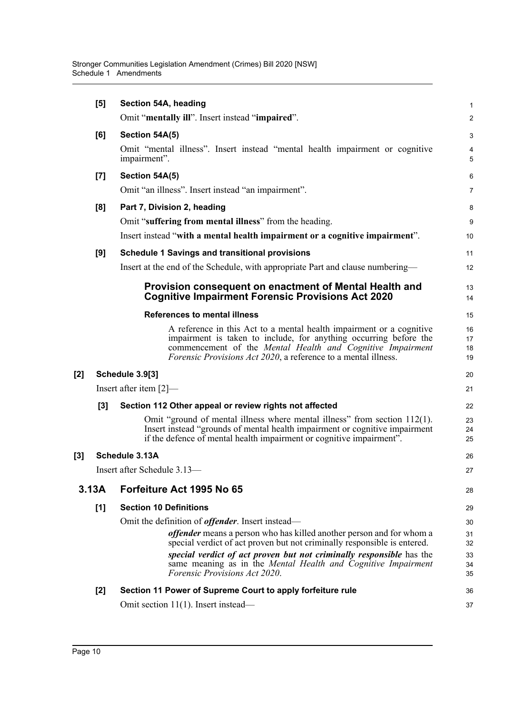|          | [5]   | Section 54A, heading                                                                                                                                                                                                                                                              | 1                    |
|----------|-------|-----------------------------------------------------------------------------------------------------------------------------------------------------------------------------------------------------------------------------------------------------------------------------------|----------------------|
|          |       | Omit "mentally ill". Insert instead "impaired".                                                                                                                                                                                                                                   | $\overline{a}$       |
|          | [6]   | Section 54A(5)                                                                                                                                                                                                                                                                    | 3                    |
|          |       | Omit "mental illness". Insert instead "mental health impairment or cognitive<br>impairment".                                                                                                                                                                                      | 4<br>5               |
|          | [7]   | Section 54A(5)                                                                                                                                                                                                                                                                    | 6                    |
|          |       | Omit "an illness". Insert instead "an impairment".                                                                                                                                                                                                                                | 7                    |
|          | [8]   | Part 7, Division 2, heading                                                                                                                                                                                                                                                       | 8                    |
|          |       | Omit "suffering from mental illness" from the heading.                                                                                                                                                                                                                            | 9                    |
|          |       | Insert instead "with a mental health impairment or a cognitive impairment".                                                                                                                                                                                                       | 10                   |
|          | [9]   | <b>Schedule 1 Savings and transitional provisions</b>                                                                                                                                                                                                                             | 11                   |
|          |       | Insert at the end of the Schedule, with appropriate Part and clause numbering—                                                                                                                                                                                                    | 12                   |
|          |       | Provision consequent on enactment of Mental Health and<br><b>Cognitive Impairment Forensic Provisions Act 2020</b>                                                                                                                                                                | 13<br>14             |
|          |       | <b>References to mental illness</b>                                                                                                                                                                                                                                               | 15                   |
|          |       | A reference in this Act to a mental health impairment or a cognitive<br>impairment is taken to include, for anything occurring before the<br>commencement of the Mental Health and Cognitive Impairment<br><i>Forensic Provisions Act 2020</i> , a reference to a mental illness. | 16<br>17<br>18<br>19 |
| [2]      |       | Schedule 3.9[3]                                                                                                                                                                                                                                                                   | 20                   |
|          |       | Insert after item $[2]$ —                                                                                                                                                                                                                                                         | 21                   |
|          | [3]   | Section 112 Other appeal or review rights not affected                                                                                                                                                                                                                            | 22                   |
|          |       | Omit "ground of mental illness where mental illness" from section 112(1).<br>Insert instead "grounds of mental health impairment or cognitive impairment<br>if the defence of mental health impairment or cognitive impairment".                                                  | 23<br>24<br>25       |
| $^{[3]}$ |       | Schedule 3.13A                                                                                                                                                                                                                                                                    | 26                   |
|          |       | Insert after Schedule 3.13-                                                                                                                                                                                                                                                       | 27                   |
|          | 3.13A | Forfeiture Act 1995 No 65                                                                                                                                                                                                                                                         | 28                   |
|          | [1]   | <b>Section 10 Definitions</b>                                                                                                                                                                                                                                                     | 29                   |
|          |       | Omit the definition of <i>offender</i> . Insert instead-                                                                                                                                                                                                                          | 30                   |
|          |       | <i>offender</i> means a person who has killed another person and for whom a<br>special verdict of act proven but not criminally responsible is entered.                                                                                                                           | 31<br>32             |
|          |       | special verdict of act proven but not criminally responsible has the<br>same meaning as in the Mental Health and Cognitive Impairment<br><i>Forensic Provisions Act 2020.</i>                                                                                                     | 33<br>34<br>35       |
|          | $[2]$ | Section 11 Power of Supreme Court to apply forfeiture rule                                                                                                                                                                                                                        | 36                   |
|          |       | Omit section $11(1)$ . Insert instead—                                                                                                                                                                                                                                            | 37                   |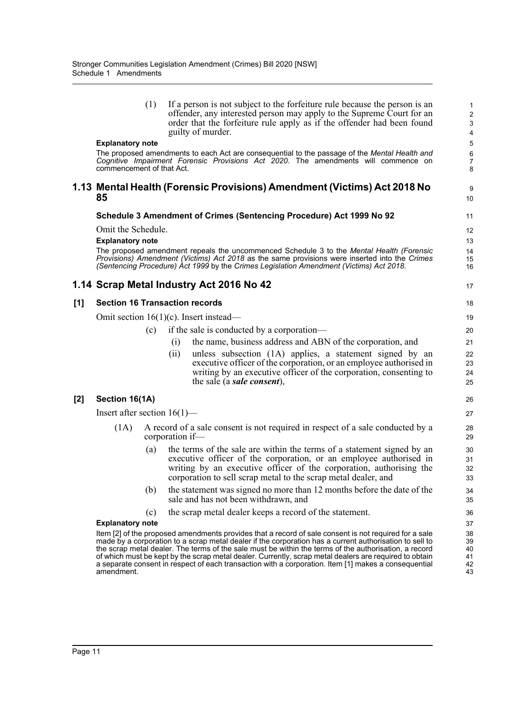(1) If a person is not subject to the forfeiture rule because the person is an offender, any interested person may apply to the Supreme Court for an order that the forfeiture rule apply as if the offender had been found guilty of murder.

9  $10$ 

17

#### **Explanatory note**

The proposed amendments to each Act are consequential to the passage of the *Mental Health and Cognitive Impairment Forensic Provisions Act 2020*. The amendments will commence on commencement of that Act.

#### **1.13 Mental Health (Forensic Provisions) Amendment (Victims) Act 2018 No 85**

#### **Schedule 3 Amendment of Crimes (Sentencing Procedure) Act 1999 No 92**

Omit the Schedule.

#### **Explanatory note**

The proposed amendment repeals the uncommenced Schedule 3 to the *Mental Health (Forensic Provisions) Amendment (Victims) Act 2018* as the same provisions were inserted into the *Crimes (Sentencing Procedure) Act 1999* by the *Crimes Legislation Amendment (Victims) Act 2018*.

#### **1.14 Scrap Metal Industry Act 2016 No 42**

#### **[1] Section 16 Transaction records**

Omit section 16(1)(c). Insert instead—

- (c) if the sale is conducted by a corporation—
	- (i) the name, business address and ABN of the corporation, and
	- (ii) unless subsection (1A) applies, a statement signed by an executive officer of the corporation, or an employee authorised in writing by an executive officer of the corporation, consenting to the sale (a *sale consent*),

#### **[2] Section 16(1A)**

Insert after section 16(1)—

- (1A) A record of a sale consent is not required in respect of a sale conducted by a corporation if—
	- (a) the terms of the sale are within the terms of a statement signed by an executive officer of the corporation, or an employee authorised in writing by an executive officer of the corporation, authorising the corporation to sell scrap metal to the scrap metal dealer, and
	- (b) the statement was signed no more than 12 months before the date of the sale and has not been withdrawn, and
	- (c) the scrap metal dealer keeps a record of the statement.

#### **Explanatory note**

Item [2] of the proposed amendments provides that a record of sale consent is not required for a sale made by a corporation to a scrap metal dealer if the corporation has a current authorisation to sell to the scrap metal dealer. The terms of the sale must be within the terms of the authorisation, a record of which must be kept by the scrap metal dealer. Currently, scrap metal dealers are required to obtain a separate consent in respect of each transaction with a corporation. Item [1] makes a consequential amendment.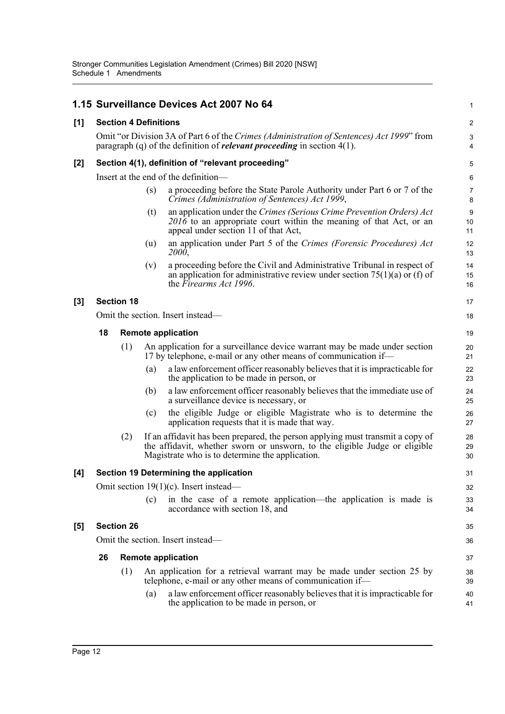|       |    |                                                                                                                                                                                |     | 1.15 Surveillance Devices Act 2007 No 64                                                                                                                                                                        | $\mathbf 1$         |  |  |  |  |
|-------|----|--------------------------------------------------------------------------------------------------------------------------------------------------------------------------------|-----|-----------------------------------------------------------------------------------------------------------------------------------------------------------------------------------------------------------------|---------------------|--|--|--|--|
| [1]   |    | <b>Section 4 Definitions</b>                                                                                                                                                   |     |                                                                                                                                                                                                                 | $\boldsymbol{2}$    |  |  |  |  |
|       |    | Omit "or Division 3A of Part 6 of the Crimes (Administration of Sentences) Act 1999" from<br>paragraph (q) of the definition of <i>relevant proceeding</i> in section $4(1)$ . |     |                                                                                                                                                                                                                 |                     |  |  |  |  |
| [2]   |    |                                                                                                                                                                                |     | Section 4(1), definition of "relevant proceeding"                                                                                                                                                               | 5                   |  |  |  |  |
|       |    |                                                                                                                                                                                |     | Insert at the end of the definition—                                                                                                                                                                            | 6                   |  |  |  |  |
|       |    |                                                                                                                                                                                | (s) | a proceeding before the State Parole Authority under Part 6 or 7 of the<br>Crimes (Administration of Sentences) Act 1999,                                                                                       | $\overline{7}$<br>8 |  |  |  |  |
|       |    |                                                                                                                                                                                | (t) | an application under the Crimes (Serious Crime Prevention Orders) Act<br>2016 to an appropriate court within the meaning of that Act, or an<br>appeal under section 11 of that Act,                             | $9\,$<br>10<br>11   |  |  |  |  |
|       |    |                                                                                                                                                                                | (u) | an application under Part 5 of the Crimes (Forensic Procedures) Act<br>2000,                                                                                                                                    | 12<br>13            |  |  |  |  |
|       |    |                                                                                                                                                                                | (v) | a proceeding before the Civil and Administrative Tribunal in respect of<br>an application for administrative review under section $75(1)(a)$ or (f) of<br>the Firearms Act 1996.                                | 14<br>15<br>16      |  |  |  |  |
| $[3]$ |    | <b>Section 18</b>                                                                                                                                                              |     |                                                                                                                                                                                                                 | 17                  |  |  |  |  |
|       |    |                                                                                                                                                                                |     | Omit the section. Insert instead—                                                                                                                                                                               | 18                  |  |  |  |  |
|       | 18 |                                                                                                                                                                                |     | <b>Remote application</b>                                                                                                                                                                                       | 19                  |  |  |  |  |
|       |    | (1)                                                                                                                                                                            |     | An application for a surveillance device warrant may be made under section<br>17 by telephone, e-mail or any other means of communication if—                                                                   | 20<br>21            |  |  |  |  |
|       |    |                                                                                                                                                                                | (a) | a law enforcement officer reasonably believes that it is impracticable for<br>the application to be made in person, or                                                                                          | 22<br>23            |  |  |  |  |
|       |    |                                                                                                                                                                                | (b) | a law enforcement officer reasonably believes that the immediate use of<br>a surveillance device is necessary, or                                                                                               | 24<br>25            |  |  |  |  |
|       |    |                                                                                                                                                                                | (c) | the eligible Judge or eligible Magistrate who is to determine the<br>application requests that it is made that way.                                                                                             | 26<br>27            |  |  |  |  |
|       |    | (2)                                                                                                                                                                            |     | If an affidavit has been prepared, the person applying must transmit a copy of<br>the affidavit, whether sworn or unsworn, to the eligible Judge or eligible<br>Magistrate who is to determine the application. | 28<br>29<br>30      |  |  |  |  |
| [4]   |    |                                                                                                                                                                                |     | Section 19 Determining the application                                                                                                                                                                          | 31                  |  |  |  |  |
|       |    |                                                                                                                                                                                |     | Omit section $19(1)(c)$ . Insert instead—                                                                                                                                                                       | 32                  |  |  |  |  |
|       |    |                                                                                                                                                                                | (c) | in the case of a remote application—the application is made is<br>accordance with section 18, and                                                                                                               | 33<br>34            |  |  |  |  |
| [5]   |    | <b>Section 26</b>                                                                                                                                                              |     |                                                                                                                                                                                                                 | 35                  |  |  |  |  |
|       |    |                                                                                                                                                                                |     | Omit the section. Insert instead—                                                                                                                                                                               | 36                  |  |  |  |  |
|       | 26 |                                                                                                                                                                                |     | <b>Remote application</b>                                                                                                                                                                                       | 37                  |  |  |  |  |
|       |    | (1)                                                                                                                                                                            |     | An application for a retrieval warrant may be made under section 25 by<br>telephone, e-mail or any other means of communication if-                                                                             | 38<br>39            |  |  |  |  |
|       |    |                                                                                                                                                                                | (a) | a law enforcement officer reasonably believes that it is impracticable for<br>the application to be made in person, or                                                                                          | 40<br>41            |  |  |  |  |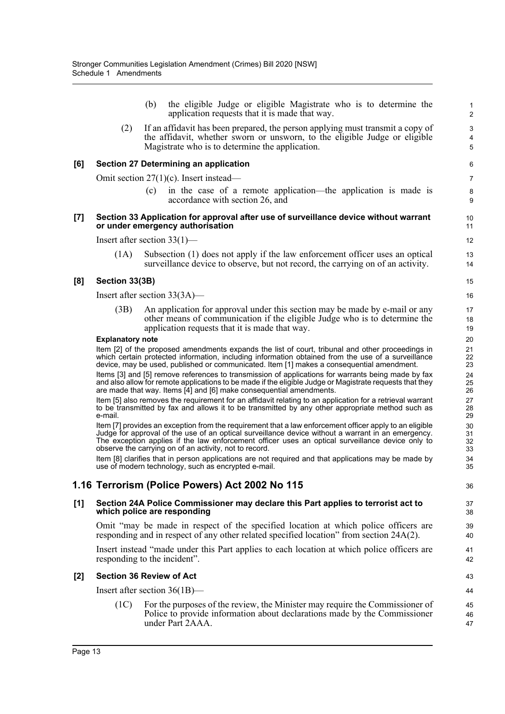(b) the eligible Judge or eligible Magistrate who is to determine the application requests that it is made that way.

36

(2) If an affidavit has been prepared, the person applying must transmit a copy of the affidavit, whether sworn or unsworn, to the eligible Judge or eligible Magistrate who is to determine the application.

#### **[6] Section 27 Determining an application**

Omit section 27(1)(c). Insert instead—

(c) in the case of a remote application—the application is made is accordance with section 26, and

#### **[7] Section 33 Application for approval after use of surveillance device without warrant or under emergency authorisation**

Insert after section 33(1)—

(1A) Subsection (1) does not apply if the law enforcement officer uses an optical surveillance device to observe, but not record, the carrying on of an activity.

#### **[8] Section 33(3B)**

Insert after section 33(3A)—

(3B) An application for approval under this section may be made by e-mail or any other means of communication if the eligible Judge who is to determine the application requests that it is made that way.

#### **Explanatory note**

Item [2] of the proposed amendments expands the list of court, tribunal and other proceedings in which certain protected information, including information obtained from the use of a surveillance device, may be used, published or communicated. Item [1] makes a consequential amendment.

Items [3] and [5] remove references to transmission of applications for warrants being made by fax and also allow for remote applications to be made if the eligible Judge or Magistrate requests that they are made that way. Items [4] and [6] make consequential amendments.

Item [5] also removes the requirement for an affidavit relating to an application for a retrieval warrant to be transmitted by fax and allows it to be transmitted by any other appropriate method such as e-mail.

Item [7] provides an exception from the requirement that a law enforcement officer apply to an eligible Judge for approval of the use of an optical surveillance device without a warrant in an emergency. The exception applies if the law enforcement officer uses an optical surveillance device only to observe the carrying on of an activity, not to record.

Item [8] clarifies that in person applications are not required and that applications may be made by use of modern technology, such as encrypted e-mail.

### **1.16 Terrorism (Police Powers) Act 2002 No 115**

#### **[1] Section 24A Police Commissioner may declare this Part applies to terrorist act to which police are responding**

Omit "may be made in respect of the specified location at which police officers are responding and in respect of any other related specified location" from section 24A(2).

Insert instead "made under this Part applies to each location at which police officers are responding to the incident".

#### **[2] Section 36 Review of Act**

Insert after section 36(1B)—

(1C) For the purposes of the review, the Minister may require the Commissioner of Police to provide information about declarations made by the Commissioner under Part 2AAA.